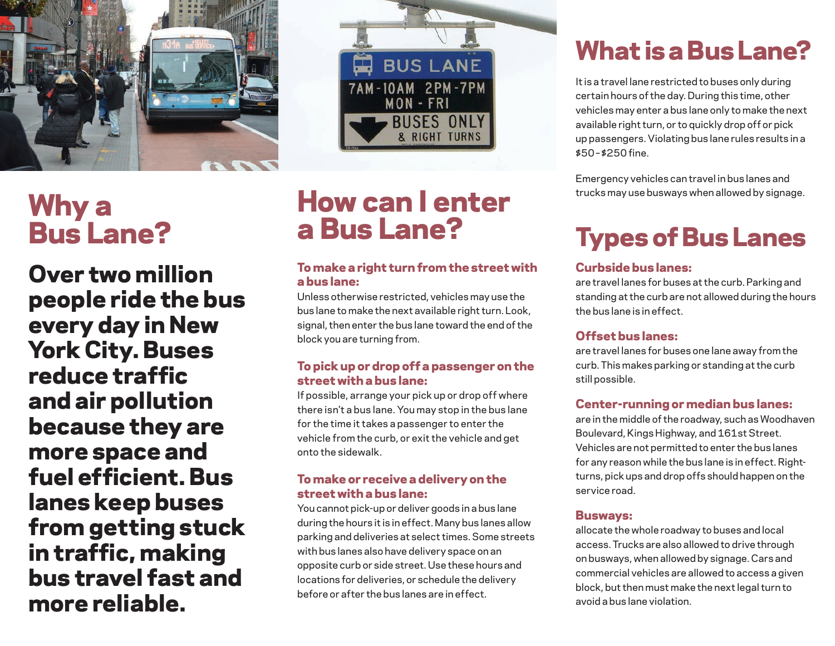

# Why a Bus Lane?

Over two million people ride the bus every day in New York City. Buses reduce traffic and air pollution because they are more space and fuel efficient. Bus lanes keep buses from getting stuck in traffic, making bus travel fast and more reliable.



# How can I enter a Bus Lane?

### To make a right turn from the street with a bus lane:

Unless otherwise restricted, vehicles may use the bus lane to make the next available right turn. Look, signal, then enter the bus lane toward the end of the block you are turning from.

#### To pick up or drop off a passenger on the street with a bus lane:

If possible, arrange your pick up or drop off where there isn't a bus lane. You may stop in the bus lane for the time it takes a passenger to enter the vehicle from the curb, or exit the vehicle and get onto the sidewalk.

#### To make or receive a delivery on the street with a bus lane:

You cannot pick-up or deliver goods in a bus lane during the hours it is in effect. Many bus lanes allow parking and deliveries at select times. Some streets with bus lanes also have delivery space on an opposite curb or side street. Use these hours and locations for deliveries, or schedule the delivery before or after the bus lanes are in effect.

# What is a Bus Lane?

It is a travel lane restricted to buses only during certain hours of the day. During this time, other vehicles may enter a bus lane only to make the next available right turn, or to quickly drop off or pick up passengers. Violating bus lane rules results in a \$50 – \$250 fine.

Emergency vehicles can travel in bus lanes and trucks may use busways when allowed by signage.

# Types of Bus Lanes

### Curbside bus lanes:

are travel lanes for buses at the curb. Parking and standing at the curb are not allowed during the hours the bus lane is in effect.

#### Offset bus lanes:

are travel lanes for buses one lane away from the curb. This makes parking or standing at the curb still possible.

### Center-running or median bus lanes:

are in the middle of the roadway, such as Woodhaven Boulevard, Kings Highway, and 161st Street. Vehicles are not permitted to enter the bus lanes for any reason while the bus lane is in effect. Rightturns, pick ups and drop offs should happen on the service road.

#### Busways:

allocate the whole roadway to buses and local access. Trucks are also allowed to drive through on busways, when allowed by signage. Cars and commercial vehicles are allowed to access a given block, but then must make the next legal turn to avoid a bus lane violation.